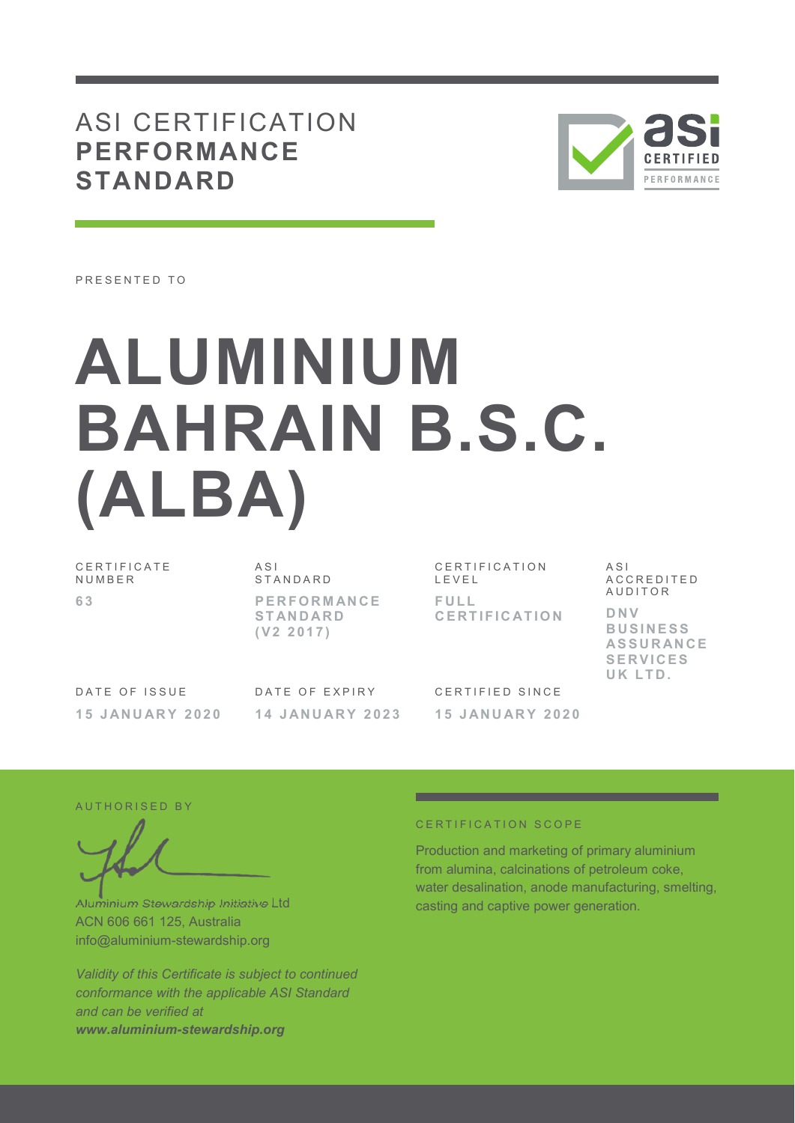## ASI CERTIFICATION **PERFORMANCE STANDARD**



PRESENTED TO

# **ALUMINIUM BAHRAIN B.S.C. (ALBA)**

C E R T I F I C A T E **NUMBER 6 3** 

 $\triangle$  S I S T A N D A R D **P E R F O R M AN C E S T AN D AR D ( V 2 2 0 1 7 )** 

C E R T I F I C A T I O N L E V E L **F U L L C E R T I F I C AT I O N** 

 $\triangle$  S I A C C R E D I T E D A U D I T O R **D N V B U S I N E S S AS S U R AN C E S E R V I C E S**  UK LTD.

DATE OF ISSUE **1 5 J AN U AR Y 2 0 2 0**  DATE OF EXPIRY **1 4 J AN U AR Y 2 0 2 3** 

CERTIFIED SINCE **1 5 J AN U AR Y 2 0 2 0** 

#### AUTHORISED BY

Aluminium Stewardship Initiative Ltd ACN 606 661 125, Australia info@aluminium-stewardship.org

*Validity of this Certificate is subject to continued conformance with the applicable ASI Standard and can be verified at www.aluminium-stewardship.org*

#### CERTIFICATION SCOPE

Production and marketing of primary aluminium from alumina, calcinations of petroleum coke, water desalination, anode manufacturing, smelting, casting and captive power generation.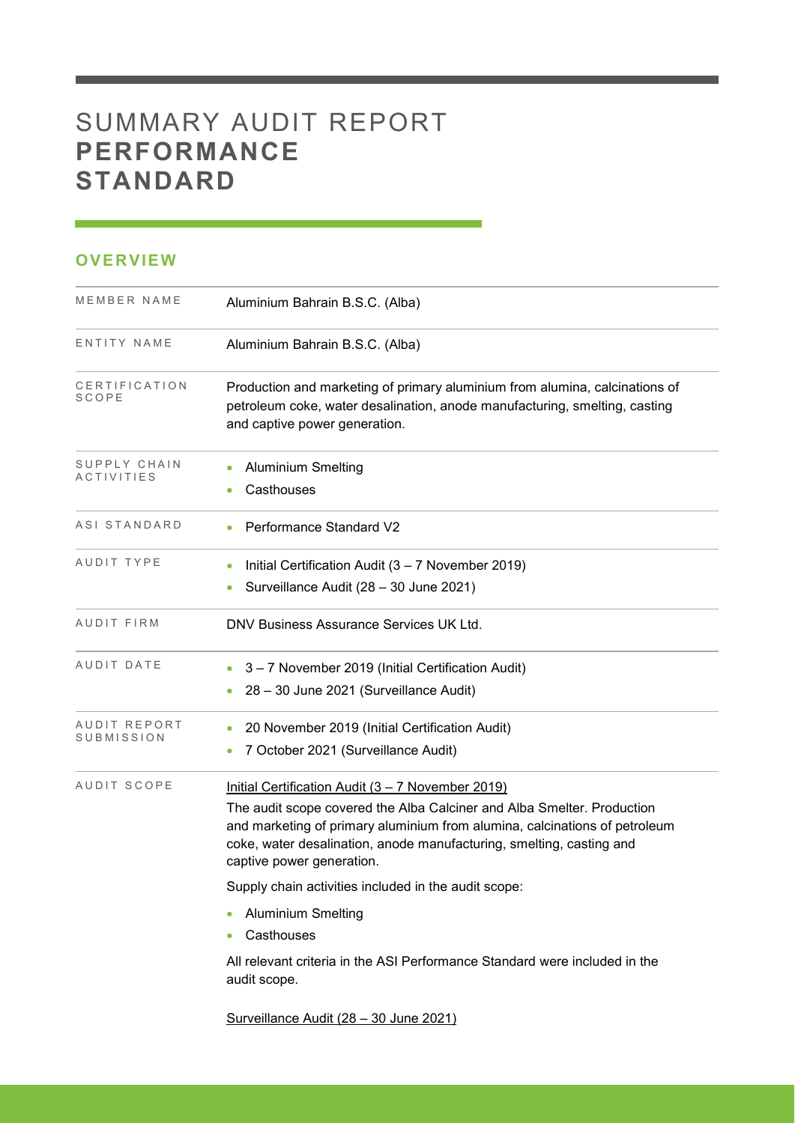# SUMMARY AUDIT REPORT **PERFORMANCE STANDARD**

## **OVERVIEW**

| MEMBER NAME                       | Aluminium Bahrain B.S.C. (Alba)                                                                                                                                                                                                                                                                                                                                                                                                                                                                                 |
|-----------------------------------|-----------------------------------------------------------------------------------------------------------------------------------------------------------------------------------------------------------------------------------------------------------------------------------------------------------------------------------------------------------------------------------------------------------------------------------------------------------------------------------------------------------------|
| ENTITY NAME                       | Aluminium Bahrain B.S.C. (Alba)                                                                                                                                                                                                                                                                                                                                                                                                                                                                                 |
| CERTIFICATION<br>SCOPE            | Production and marketing of primary aluminium from alumina, calcinations of<br>petroleum coke, water desalination, anode manufacturing, smelting, casting<br>and captive power generation.                                                                                                                                                                                                                                                                                                                      |
| SUPPLY CHAIN<br><b>ACTIVITIES</b> | <b>Aluminium Smelting</b><br>Casthouses                                                                                                                                                                                                                                                                                                                                                                                                                                                                         |
| ASI STANDARD                      | <b>Performance Standard V2</b>                                                                                                                                                                                                                                                                                                                                                                                                                                                                                  |
| AUDIT TYPE                        | Initial Certification Audit $(3 – 7$ November 2019)<br>Surveillance Audit (28 - 30 June 2021)                                                                                                                                                                                                                                                                                                                                                                                                                   |
| AUDIT FIRM                        | DNV Business Assurance Services UK Ltd.                                                                                                                                                                                                                                                                                                                                                                                                                                                                         |
| AUDIT DATE                        | 3-7 November 2019 (Initial Certification Audit)<br>28 - 30 June 2021 (Surveillance Audit)                                                                                                                                                                                                                                                                                                                                                                                                                       |
| AUDIT REPORT<br>SUBMISSION        | 20 November 2019 (Initial Certification Audit)<br>$\bullet$<br>7 October 2021 (Surveillance Audit)                                                                                                                                                                                                                                                                                                                                                                                                              |
| AUDIT SCOPE                       | Initial Certification Audit (3 - 7 November 2019)<br>The audit scope covered the Alba Calciner and Alba Smelter. Production<br>and marketing of primary aluminium from alumina, calcinations of petroleum<br>coke, water desalination, anode manufacturing, smelting, casting and<br>captive power generation.<br>Supply chain activities included in the audit scope:<br><b>Aluminium Smelting</b><br>Casthouses<br>All relevant criteria in the ASI Performance Standard were included in the<br>audit scope. |
|                                   | Surveillance Audit (28 - 30 June 2021)                                                                                                                                                                                                                                                                                                                                                                                                                                                                          |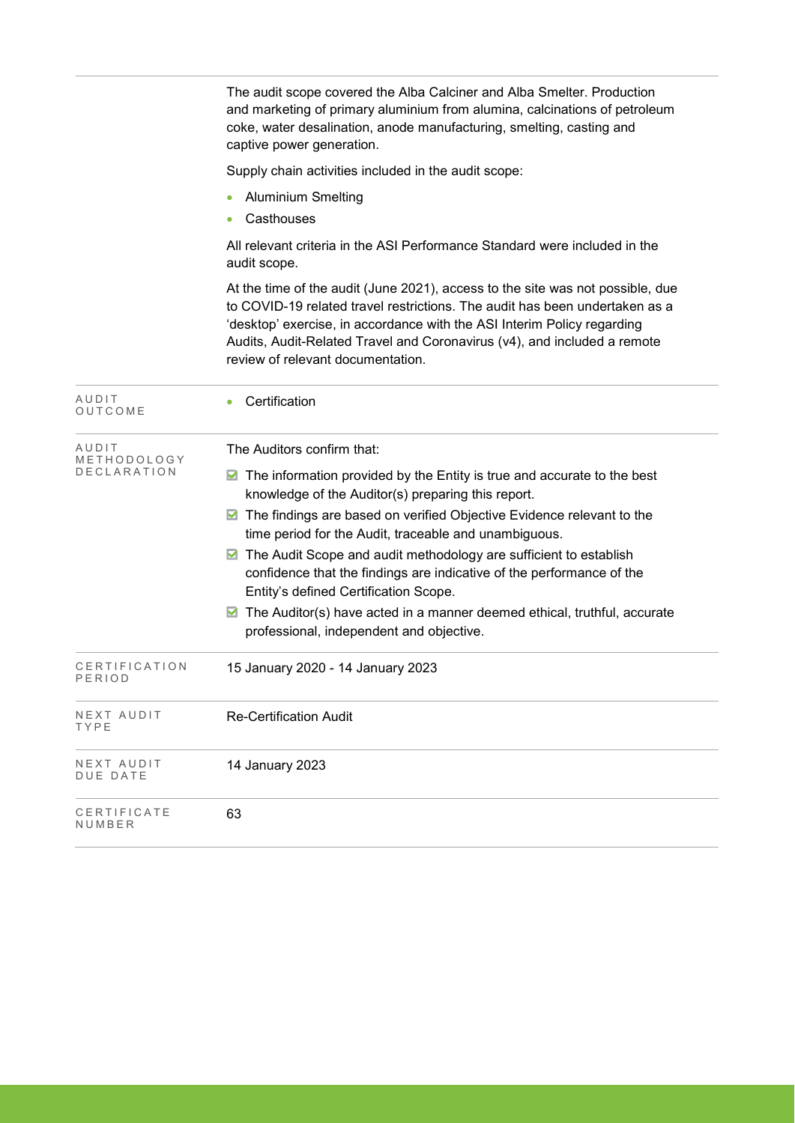|                         | The audit scope covered the Alba Calciner and Alba Smelter. Production<br>and marketing of primary aluminium from alumina, calcinations of petroleum<br>coke, water desalination, anode manufacturing, smelting, casting and<br>captive power generation.                                                                                                 |  |  |  |  |  |
|-------------------------|-----------------------------------------------------------------------------------------------------------------------------------------------------------------------------------------------------------------------------------------------------------------------------------------------------------------------------------------------------------|--|--|--|--|--|
|                         | Supply chain activities included in the audit scope:                                                                                                                                                                                                                                                                                                      |  |  |  |  |  |
|                         | <b>Aluminium Smelting</b>                                                                                                                                                                                                                                                                                                                                 |  |  |  |  |  |
|                         | Casthouses                                                                                                                                                                                                                                                                                                                                                |  |  |  |  |  |
|                         | All relevant criteria in the ASI Performance Standard were included in the<br>audit scope.                                                                                                                                                                                                                                                                |  |  |  |  |  |
|                         | At the time of the audit (June 2021), access to the site was not possible, due<br>to COVID-19 related travel restrictions. The audit has been undertaken as a<br>'desktop' exercise, in accordance with the ASI Interim Policy regarding<br>Audits, Audit-Related Travel and Coronavirus (v4), and included a remote<br>review of relevant documentation. |  |  |  |  |  |
| AUDIT<br>OUTCOME        | Certification                                                                                                                                                                                                                                                                                                                                             |  |  |  |  |  |
| AUDIT<br>METHODOLOGY    | The Auditors confirm that:                                                                                                                                                                                                                                                                                                                                |  |  |  |  |  |
| DECLARATION             | $\blacksquare$ The information provided by the Entity is true and accurate to the best<br>knowledge of the Auditor(s) preparing this report.                                                                                                                                                                                                              |  |  |  |  |  |
|                         | ■ The findings are based on verified Objective Evidence relevant to the<br>time period for the Audit, traceable and unambiguous.                                                                                                                                                                                                                          |  |  |  |  |  |
|                         | The Audit Scope and audit methodology are sufficient to establish<br>confidence that the findings are indicative of the performance of the<br>Entity's defined Certification Scope.                                                                                                                                                                       |  |  |  |  |  |
|                         | The Auditor(s) have acted in a manner deemed ethical, truthful, accurate<br>⊠<br>professional, independent and objective.                                                                                                                                                                                                                                 |  |  |  |  |  |
| CERTIFICATION<br>PERIOD | 15 January 2020 - 14 January 2023                                                                                                                                                                                                                                                                                                                         |  |  |  |  |  |
| NEXT AUDIT<br>TYPE      | <b>Re-Certification Audit</b>                                                                                                                                                                                                                                                                                                                             |  |  |  |  |  |
| NEXT AUDIT<br>DUE DATE  | 14 January 2023                                                                                                                                                                                                                                                                                                                                           |  |  |  |  |  |
| CERTIFICATE<br>NUMBER   | 63                                                                                                                                                                                                                                                                                                                                                        |  |  |  |  |  |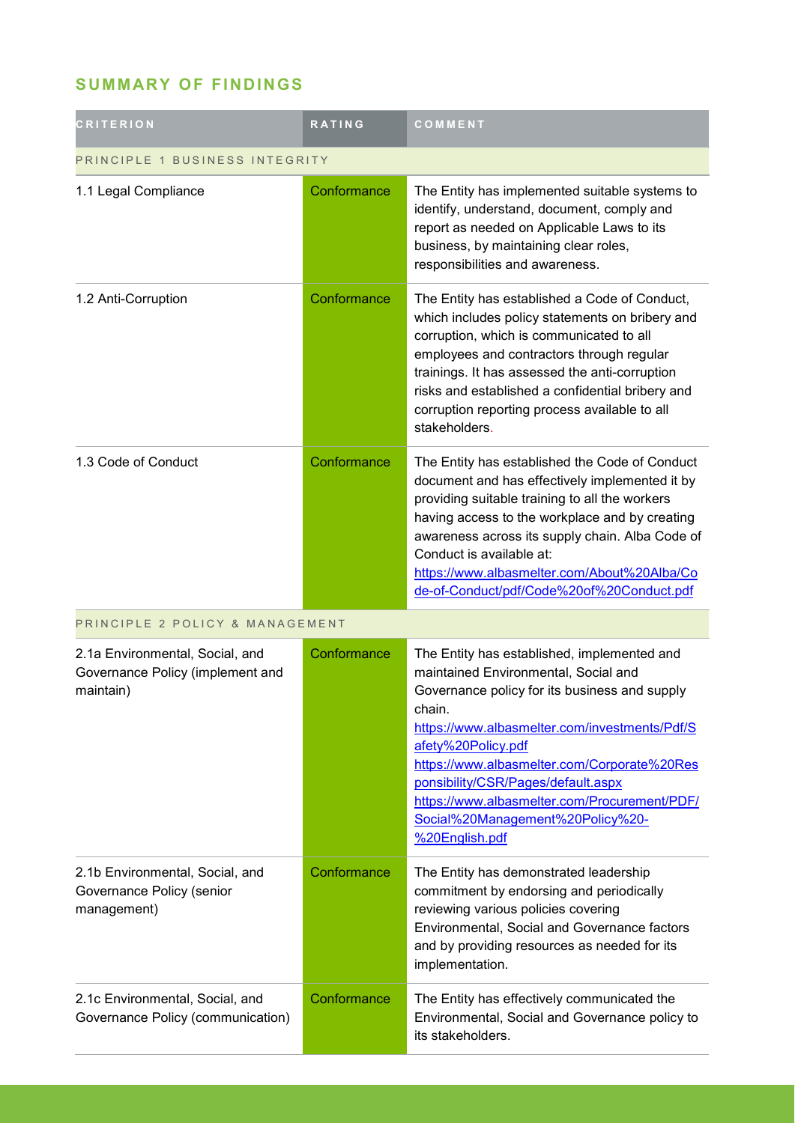## **SUMMARY OF FINDINGS**

| <b>CRITERION</b>                                                                 | <b>RATING</b> | COMMENT                                                                                                                                                                                                                                                                                                                                                                                                          |  |
|----------------------------------------------------------------------------------|---------------|------------------------------------------------------------------------------------------------------------------------------------------------------------------------------------------------------------------------------------------------------------------------------------------------------------------------------------------------------------------------------------------------------------------|--|
| PRINCIPLE 1 BUSINESS INTEGRITY                                                   |               |                                                                                                                                                                                                                                                                                                                                                                                                                  |  |
| 1.1 Legal Compliance                                                             | Conformance   | The Entity has implemented suitable systems to<br>identify, understand, document, comply and<br>report as needed on Applicable Laws to its<br>business, by maintaining clear roles,<br>responsibilities and awareness.                                                                                                                                                                                           |  |
| 1.2 Anti-Corruption                                                              | Conformance   | The Entity has established a Code of Conduct,<br>which includes policy statements on bribery and<br>corruption, which is communicated to all<br>employees and contractors through regular<br>trainings. It has assessed the anti-corruption<br>risks and established a confidential bribery and<br>corruption reporting process available to all<br>stakeholders.                                                |  |
| 1.3 Code of Conduct                                                              | Conformance   | The Entity has established the Code of Conduct<br>document and has effectively implemented it by<br>providing suitable training to all the workers<br>having access to the workplace and by creating<br>awareness across its supply chain. Alba Code of<br>Conduct is available at:<br>https://www.albasmelter.com/About%20Alba/Co<br>de-of-Conduct/pdf/Code%20of%20Conduct.pdf                                  |  |
| PRINCIPLE 2 POLICY & MANAGEMENT                                                  |               |                                                                                                                                                                                                                                                                                                                                                                                                                  |  |
| 2.1a Environmental, Social, and<br>Governance Policy (implement and<br>maintain) | Conformance   | The Entity has established, implemented and<br>maintained Environmental, Social and<br>Governance policy for its business and supply<br>chain.<br>https://www.albasmelter.com/investments/Pdf/S<br>afety%20Policy.pdf<br>https://www.albasmelter.com/Corporate%20Res<br>ponsibility/CSR/Pages/default.aspx<br>https://www.albasmelter.com/Procurement/PDF/<br>Social%20Management%20Policy%20-<br>%20English.pdf |  |
| 2.1b Environmental, Social, and<br>Governance Policy (senior<br>management)      | Conformance   | The Entity has demonstrated leadership<br>commitment by endorsing and periodically<br>reviewing various policies covering<br>Environmental, Social and Governance factors<br>and by providing resources as needed for its<br>implementation.                                                                                                                                                                     |  |
| 2.1c Environmental, Social, and<br>Governance Policy (communication)             | Conformance   | The Entity has effectively communicated the<br>Environmental, Social and Governance policy to<br>its stakeholders.                                                                                                                                                                                                                                                                                               |  |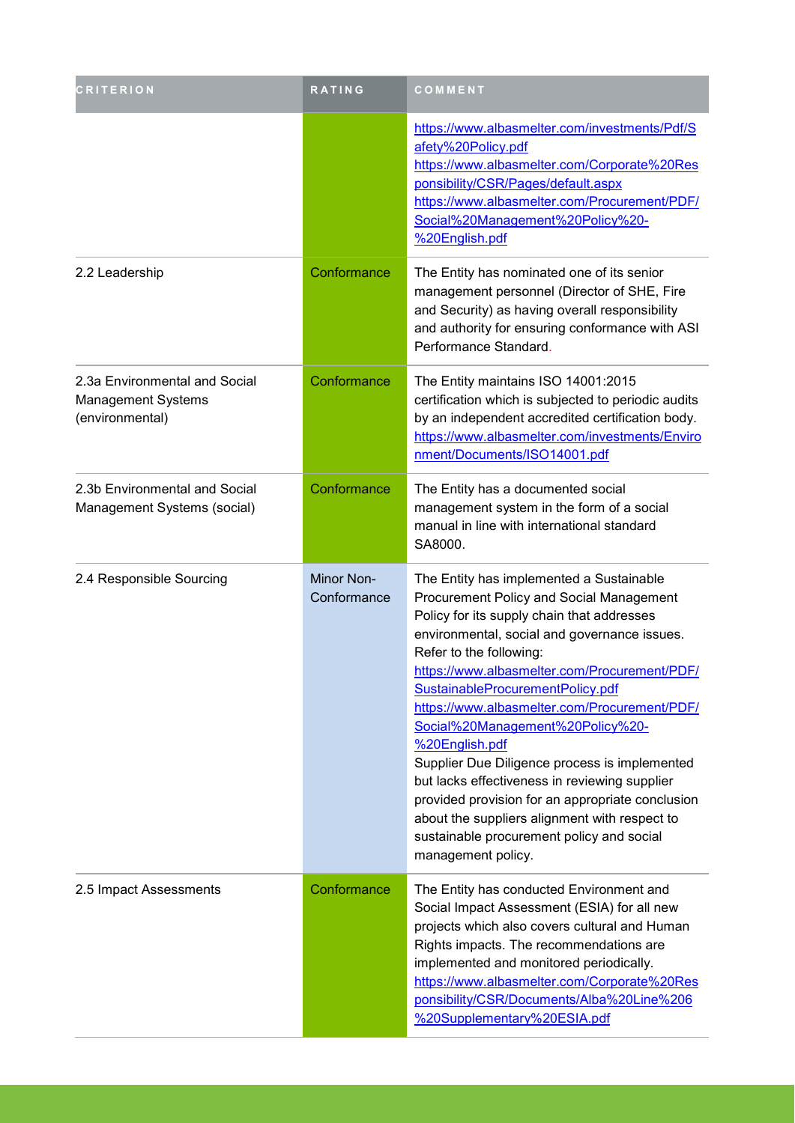| <b>CRITERION</b>                                                       | RATING                    | COMMENT                                                                                                                                                                                                                                                                                                                                                                                                                                                                                                                                                                                                                                                                           |
|------------------------------------------------------------------------|---------------------------|-----------------------------------------------------------------------------------------------------------------------------------------------------------------------------------------------------------------------------------------------------------------------------------------------------------------------------------------------------------------------------------------------------------------------------------------------------------------------------------------------------------------------------------------------------------------------------------------------------------------------------------------------------------------------------------|
|                                                                        |                           | https://www.albasmelter.com/investments/Pdf/S<br>afety%20Policy.pdf<br>https://www.albasmelter.com/Corporate%20Res<br>ponsibility/CSR/Pages/default.aspx<br>https://www.albasmelter.com/Procurement/PDF/<br>Social%20Management%20Policy%20-<br>%20English.pdf                                                                                                                                                                                                                                                                                                                                                                                                                    |
| 2.2 Leadership                                                         | Conformance               | The Entity has nominated one of its senior<br>management personnel (Director of SHE, Fire<br>and Security) as having overall responsibility<br>and authority for ensuring conformance with ASI<br>Performance Standard.                                                                                                                                                                                                                                                                                                                                                                                                                                                           |
| 2.3a Environmental and Social<br>Management Systems<br>(environmental) | Conformance               | The Entity maintains ISO 14001:2015<br>certification which is subjected to periodic audits<br>by an independent accredited certification body.<br>https://www.albasmelter.com/investments/Enviro<br>nment/Documents/ISO14001.pdf                                                                                                                                                                                                                                                                                                                                                                                                                                                  |
| 2.3b Environmental and Social<br>Management Systems (social)           | Conformance               | The Entity has a documented social<br>management system in the form of a social<br>manual in line with international standard<br>SA8000.                                                                                                                                                                                                                                                                                                                                                                                                                                                                                                                                          |
| 2.4 Responsible Sourcing                                               | Minor Non-<br>Conformance | The Entity has implemented a Sustainable<br>Procurement Policy and Social Management<br>Policy for its supply chain that addresses<br>environmental, social and governance issues.<br>Refer to the following:<br>https://www.albasmelter.com/Procurement/PDF/<br>SustainableProcurementPolicy.pdf<br>https://www.albasmelter.com/Procurement/PDF/<br>Social%20Management%20Policy%20-<br>%20English.pdf<br>Supplier Due Diligence process is implemented<br>but lacks effectiveness in reviewing supplier<br>provided provision for an appropriate conclusion<br>about the suppliers alignment with respect to<br>sustainable procurement policy and social<br>management policy. |
| 2.5 Impact Assessments                                                 | Conformance               | The Entity has conducted Environment and<br>Social Impact Assessment (ESIA) for all new<br>projects which also covers cultural and Human<br>Rights impacts. The recommendations are<br>implemented and monitored periodically.<br>https://www.albasmelter.com/Corporate%20Res<br>ponsibility/CSR/Documents/Alba%20Line%206<br>%20Supplementary%20ESIA.pdf                                                                                                                                                                                                                                                                                                                         |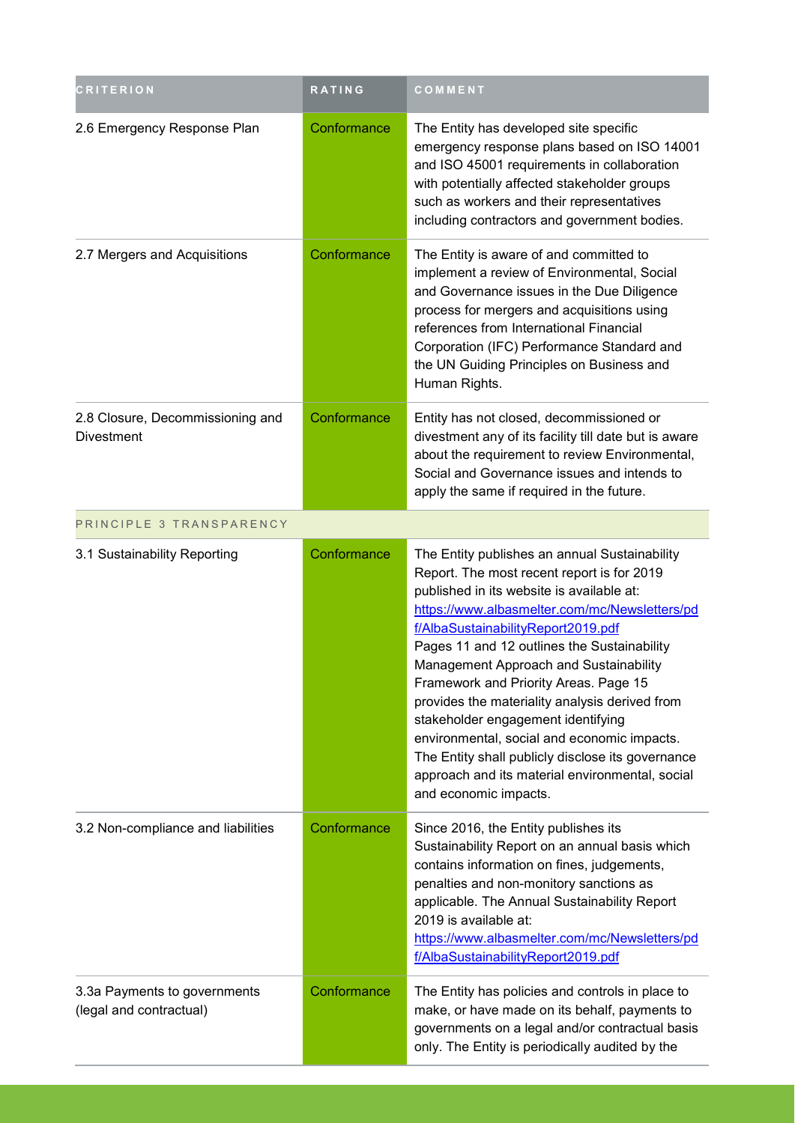| <b>CRITERION</b>                                        | RATING      | COMMENT                                                                                                                                                                                                                                                                                                                                                                                                                                                                                                                                                                                                                                   |
|---------------------------------------------------------|-------------|-------------------------------------------------------------------------------------------------------------------------------------------------------------------------------------------------------------------------------------------------------------------------------------------------------------------------------------------------------------------------------------------------------------------------------------------------------------------------------------------------------------------------------------------------------------------------------------------------------------------------------------------|
| 2.6 Emergency Response Plan                             | Conformance | The Entity has developed site specific<br>emergency response plans based on ISO 14001<br>and ISO 45001 requirements in collaboration<br>with potentially affected stakeholder groups<br>such as workers and their representatives<br>including contractors and government bodies.                                                                                                                                                                                                                                                                                                                                                         |
| 2.7 Mergers and Acquisitions                            | Conformance | The Entity is aware of and committed to<br>implement a review of Environmental, Social<br>and Governance issues in the Due Diligence<br>process for mergers and acquisitions using<br>references from International Financial<br>Corporation (IFC) Performance Standard and<br>the UN Guiding Principles on Business and<br>Human Rights.                                                                                                                                                                                                                                                                                                 |
| 2.8 Closure, Decommissioning and<br><b>Divestment</b>   | Conformance | Entity has not closed, decommissioned or<br>divestment any of its facility till date but is aware<br>about the requirement to review Environmental,<br>Social and Governance issues and intends to<br>apply the same if required in the future.                                                                                                                                                                                                                                                                                                                                                                                           |
| PRINCIPLE 3 TRANSPARENCY                                |             |                                                                                                                                                                                                                                                                                                                                                                                                                                                                                                                                                                                                                                           |
| 3.1 Sustainability Reporting                            | Conformance | The Entity publishes an annual Sustainability<br>Report. The most recent report is for 2019<br>published in its website is available at:<br>https://www.albasmelter.com/mc/Newsletters/pd<br>f/AlbaSustainabilityReport2019.pdf<br>Pages 11 and 12 outlines the Sustainability<br>Management Approach and Sustainability<br>Framework and Priority Areas. Page 15<br>provides the materiality analysis derived from<br>stakeholder engagement identifying<br>environmental, social and economic impacts.<br>The Entity shall publicly disclose its governance<br>approach and its material environmental, social<br>and economic impacts. |
| 3.2 Non-compliance and liabilities                      | Conformance | Since 2016, the Entity publishes its<br>Sustainability Report on an annual basis which<br>contains information on fines, judgements,<br>penalties and non-monitory sanctions as<br>applicable. The Annual Sustainability Report<br>2019 is available at:<br>https://www.albasmelter.com/mc/Newsletters/pd<br>f/AlbaSustainabilityReport2019.pdf                                                                                                                                                                                                                                                                                           |
| 3.3a Payments to governments<br>(legal and contractual) | Conformance | The Entity has policies and controls in place to<br>make, or have made on its behalf, payments to<br>governments on a legal and/or contractual basis<br>only. The Entity is periodically audited by the                                                                                                                                                                                                                                                                                                                                                                                                                                   |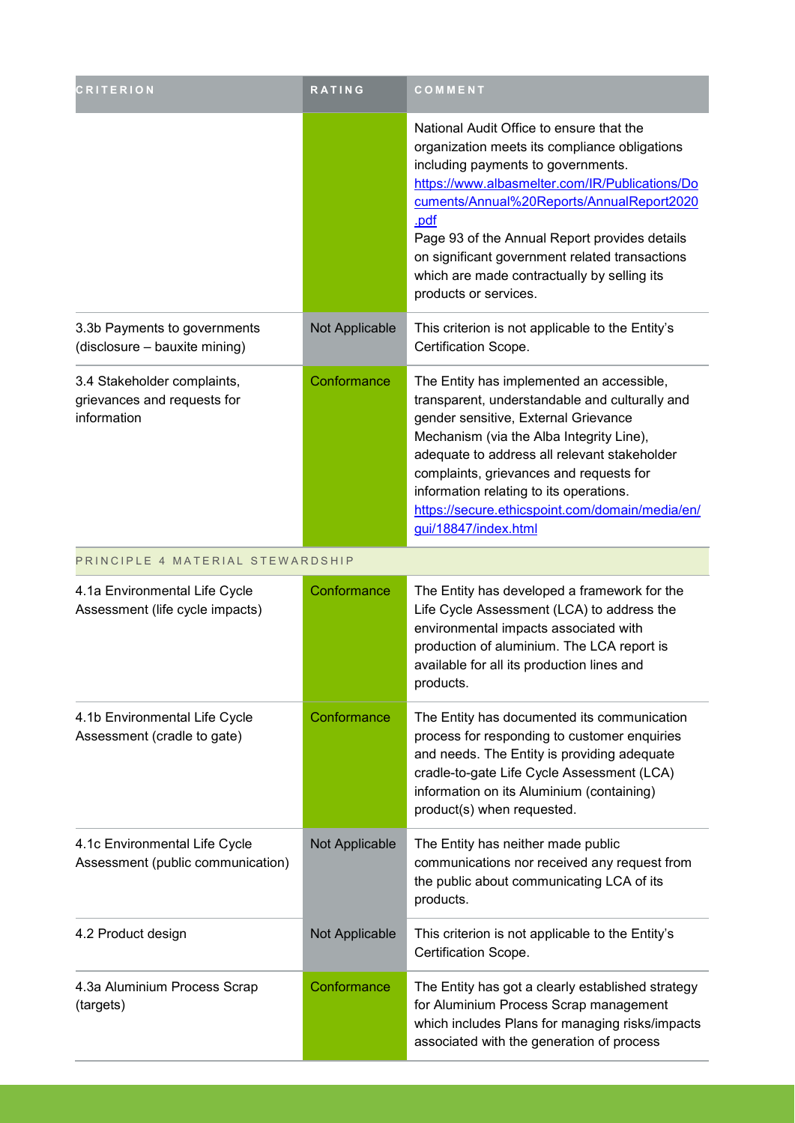| <b>CRITERION</b>                                                          | RATING         | COMMENT                                                                                                                                                                                                                                                                                                                                                                                                           |
|---------------------------------------------------------------------------|----------------|-------------------------------------------------------------------------------------------------------------------------------------------------------------------------------------------------------------------------------------------------------------------------------------------------------------------------------------------------------------------------------------------------------------------|
|                                                                           |                | National Audit Office to ensure that the<br>organization meets its compliance obligations<br>including payments to governments.<br>https://www.albasmelter.com/IR/Publications/Do<br>cuments/Annual%20Reports/AnnualReport2020<br>.pdf<br>Page 93 of the Annual Report provides details<br>on significant government related transactions<br>which are made contractually by selling its<br>products or services. |
| 3.3b Payments to governments<br>(disclosure - bauxite mining)             | Not Applicable | This criterion is not applicable to the Entity's<br>Certification Scope.                                                                                                                                                                                                                                                                                                                                          |
| 3.4 Stakeholder complaints,<br>grievances and requests for<br>information | Conformance    | The Entity has implemented an accessible,<br>transparent, understandable and culturally and<br>gender sensitive, External Grievance<br>Mechanism (via the Alba Integrity Line),<br>adequate to address all relevant stakeholder<br>complaints, grievances and requests for<br>information relating to its operations.<br>https://secure.ethicspoint.com/domain/media/en/<br>gui/18847/index.html                  |
| PRINCIPLE 4 MATERIAL STEWARDSHIP                                          |                |                                                                                                                                                                                                                                                                                                                                                                                                                   |
| 4.1a Environmental Life Cycle<br>Assessment (life cycle impacts)          | Conformance    | The Entity has developed a framework for the<br>Life Cycle Assessment (LCA) to address the<br>environmental impacts associated with<br>production of aluminium. The LCA report is<br>available for all its production lines and<br>products.                                                                                                                                                                      |
| 4.1b Environmental Life Cycle<br>Assessment (cradle to gate)              | Conformance    | The Entity has documented its communication<br>process for responding to customer enquiries<br>and needs. The Entity is providing adequate<br>cradle-to-gate Life Cycle Assessment (LCA)<br>information on its Aluminium (containing)<br>product(s) when requested.                                                                                                                                               |
| 4.1c Environmental Life Cycle<br>Assessment (public communication)        | Not Applicable | The Entity has neither made public<br>communications nor received any request from<br>the public about communicating LCA of its<br>products.                                                                                                                                                                                                                                                                      |
| 4.2 Product design                                                        | Not Applicable | This criterion is not applicable to the Entity's<br>Certification Scope.                                                                                                                                                                                                                                                                                                                                          |
| 4.3a Aluminium Process Scrap<br>(targets)                                 | Conformance    | The Entity has got a clearly established strategy<br>for Aluminium Process Scrap management<br>which includes Plans for managing risks/impacts<br>associated with the generation of process                                                                                                                                                                                                                       |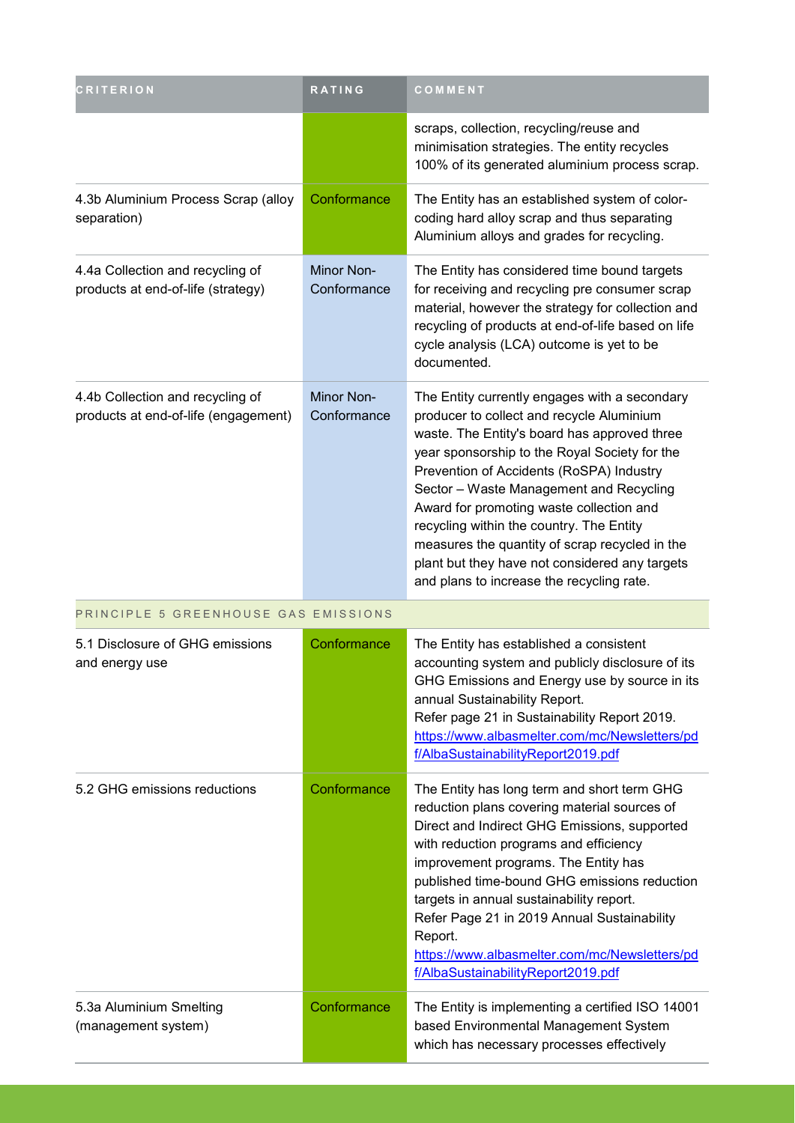| <b>CRITERION</b>                                                         | RATING                           | COMMENT                                                                                                                                                                                                                                                                                                                                                                                                                                                                                                                     |
|--------------------------------------------------------------------------|----------------------------------|-----------------------------------------------------------------------------------------------------------------------------------------------------------------------------------------------------------------------------------------------------------------------------------------------------------------------------------------------------------------------------------------------------------------------------------------------------------------------------------------------------------------------------|
|                                                                          |                                  | scraps, collection, recycling/reuse and<br>minimisation strategies. The entity recycles<br>100% of its generated aluminium process scrap.                                                                                                                                                                                                                                                                                                                                                                                   |
| 4.3b Aluminium Process Scrap (alloy<br>separation)                       | Conformance                      | The Entity has an established system of color-<br>coding hard alloy scrap and thus separating<br>Aluminium alloys and grades for recycling.                                                                                                                                                                                                                                                                                                                                                                                 |
| 4.4a Collection and recycling of<br>products at end-of-life (strategy)   | <b>Minor Non-</b><br>Conformance | The Entity has considered time bound targets<br>for receiving and recycling pre consumer scrap<br>material, however the strategy for collection and<br>recycling of products at end-of-life based on life<br>cycle analysis (LCA) outcome is yet to be<br>documented.                                                                                                                                                                                                                                                       |
| 4.4b Collection and recycling of<br>products at end-of-life (engagement) | Minor Non-<br>Conformance        | The Entity currently engages with a secondary<br>producer to collect and recycle Aluminium<br>waste. The Entity's board has approved three<br>year sponsorship to the Royal Society for the<br>Prevention of Accidents (RoSPA) Industry<br>Sector - Waste Management and Recycling<br>Award for promoting waste collection and<br>recycling within the country. The Entity<br>measures the quantity of scrap recycled in the<br>plant but they have not considered any targets<br>and plans to increase the recycling rate. |
| PRINCIPLE 5 GREENHOUSE GAS EMISSIONS                                     |                                  |                                                                                                                                                                                                                                                                                                                                                                                                                                                                                                                             |
| 5.1 Disclosure of GHG emissions<br>and energy use                        | Conformance                      | The Entity has established a consistent<br>accounting system and publicly disclosure of its<br>GHG Emissions and Energy use by source in its<br>annual Sustainability Report.<br>Refer page 21 in Sustainability Report 2019.<br>https://www.albasmelter.com/mc/Newsletters/pd<br>f/AlbaSustainabilityReport2019.pdf                                                                                                                                                                                                        |
| 5.2 GHG emissions reductions                                             | Conformance                      | The Entity has long term and short term GHG<br>reduction plans covering material sources of<br>Direct and Indirect GHG Emissions, supported<br>with reduction programs and efficiency<br>improvement programs. The Entity has<br>published time-bound GHG emissions reduction<br>targets in annual sustainability report.<br>Refer Page 21 in 2019 Annual Sustainability<br>Report.<br>https://www.albasmelter.com/mc/Newsletters/pd<br>f/AlbaSustainabilityReport2019.pdf                                                  |
| 5.3a Aluminium Smelting<br>(management system)                           | Conformance                      | The Entity is implementing a certified ISO 14001<br>based Environmental Management System<br>which has necessary processes effectively                                                                                                                                                                                                                                                                                                                                                                                      |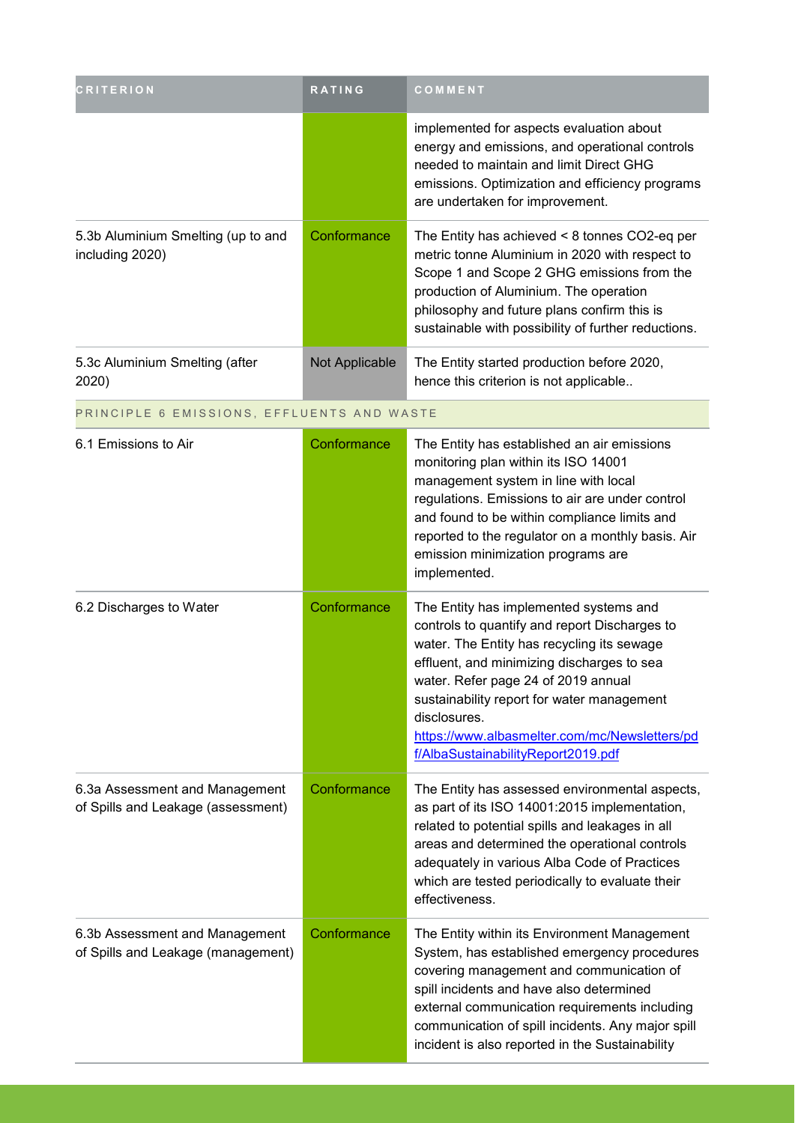| <b>RITERION</b>                                                      | RATING         | COMMENT                                                                                                                                                                                                                                                                                                                                                                         |
|----------------------------------------------------------------------|----------------|---------------------------------------------------------------------------------------------------------------------------------------------------------------------------------------------------------------------------------------------------------------------------------------------------------------------------------------------------------------------------------|
|                                                                      |                | implemented for aspects evaluation about<br>energy and emissions, and operational controls<br>needed to maintain and limit Direct GHG<br>emissions. Optimization and efficiency programs<br>are undertaken for improvement.                                                                                                                                                     |
| 5.3b Aluminium Smelting (up to and<br>including 2020)                | Conformance    | The Entity has achieved $<$ 8 tonnes CO2-eq per<br>metric tonne Aluminium in 2020 with respect to<br>Scope 1 and Scope 2 GHG emissions from the<br>production of Aluminium. The operation<br>philosophy and future plans confirm this is<br>sustainable with possibility of further reductions.                                                                                 |
| 5.3c Aluminium Smelting (after<br>2020)                              | Not Applicable | The Entity started production before 2020,<br>hence this criterion is not applicable                                                                                                                                                                                                                                                                                            |
| PRINCIPLE 6 EMISSIONS, EFFLUENTS AND WASTE                           |                |                                                                                                                                                                                                                                                                                                                                                                                 |
| 6.1 Emissions to Air                                                 | Conformance    | The Entity has established an air emissions<br>monitoring plan within its ISO 14001<br>management system in line with local<br>regulations. Emissions to air are under control<br>and found to be within compliance limits and<br>reported to the regulator on a monthly basis. Air<br>emission minimization programs are<br>implemented.                                       |
| 6.2 Discharges to Water                                              | Conformance    | The Entity has implemented systems and<br>controls to quantify and report Discharges to<br>water. The Entity has recycling its sewage<br>effluent, and minimizing discharges to sea<br>water. Refer page 24 of 2019 annual<br>sustainability report for water management<br>disclosures.<br>https://www.albasmelter.com/mc/Newsletters/pd<br>f/AlbaSustainabilityReport2019.pdf |
| 6.3a Assessment and Management<br>of Spills and Leakage (assessment) | Conformance    | The Entity has assessed environmental aspects,<br>as part of its ISO 14001:2015 implementation,<br>related to potential spills and leakages in all<br>areas and determined the operational controls<br>adequately in various Alba Code of Practices<br>which are tested periodically to evaluate their<br>effectiveness.                                                        |
| 6.3b Assessment and Management<br>of Spills and Leakage (management) | Conformance    | The Entity within its Environment Management<br>System, has established emergency procedures<br>covering management and communication of<br>spill incidents and have also determined<br>external communication requirements including<br>communication of spill incidents. Any major spill<br>incident is also reported in the Sustainability                                   |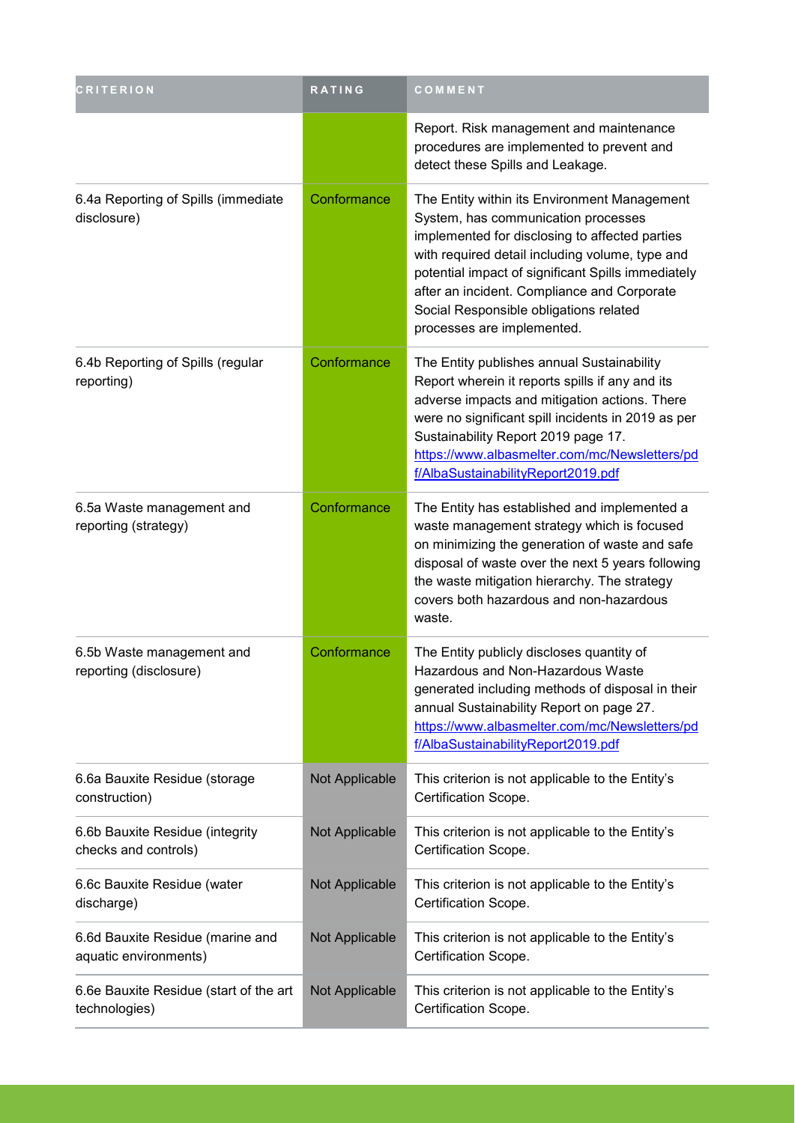| <b>CRITERION</b>                                          | <b>RATING</b>  | COMMENT                                                                                                                                                                                                                                                                                                                                                               |
|-----------------------------------------------------------|----------------|-----------------------------------------------------------------------------------------------------------------------------------------------------------------------------------------------------------------------------------------------------------------------------------------------------------------------------------------------------------------------|
|                                                           |                | Report. Risk management and maintenance<br>procedures are implemented to prevent and<br>detect these Spills and Leakage.                                                                                                                                                                                                                                              |
| 6.4a Reporting of Spills (immediate<br>disclosure)        | Conformance    | The Entity within its Environment Management<br>System, has communication processes<br>implemented for disclosing to affected parties<br>with required detail including volume, type and<br>potential impact of significant Spills immediately<br>after an incident. Compliance and Corporate<br>Social Responsible obligations related<br>processes are implemented. |
| 6.4b Reporting of Spills (regular<br>reporting)           | Conformance    | The Entity publishes annual Sustainability<br>Report wherein it reports spills if any and its<br>adverse impacts and mitigation actions. There<br>were no significant spill incidents in 2019 as per<br>Sustainability Report 2019 page 17.<br>https://www.albasmelter.com/mc/Newsletters/pd<br>f/AlbaSustainabilityReport2019.pdf                                    |
| 6.5a Waste management and<br>reporting (strategy)         | Conformance    | The Entity has established and implemented a<br>waste management strategy which is focused<br>on minimizing the generation of waste and safe<br>disposal of waste over the next 5 years following<br>the waste mitigation hierarchy. The strategy<br>covers both hazardous and non-hazardous<br>waste.                                                                |
| 6.5b Waste management and<br>reporting (disclosure)       | Conformance    | The Entity publicly discloses quantity of<br>Hazardous and Non-Hazardous Waste<br>generated including methods of disposal in their<br>annual Sustainability Report on page 27.<br>https://www.albasmelter.com/mc/Newsletters/pd<br>f/AlbaSustainabilityReport2019.pdf                                                                                                 |
| 6.6a Bauxite Residue (storage<br>construction)            | Not Applicable | This criterion is not applicable to the Entity's<br>Certification Scope.                                                                                                                                                                                                                                                                                              |
| 6.6b Bauxite Residue (integrity<br>checks and controls)   | Not Applicable | This criterion is not applicable to the Entity's<br>Certification Scope.                                                                                                                                                                                                                                                                                              |
| 6.6c Bauxite Residue (water<br>discharge)                 | Not Applicable | This criterion is not applicable to the Entity's<br>Certification Scope.                                                                                                                                                                                                                                                                                              |
| 6.6d Bauxite Residue (marine and<br>aquatic environments) | Not Applicable | This criterion is not applicable to the Entity's<br>Certification Scope.                                                                                                                                                                                                                                                                                              |
| 6.6e Bauxite Residue (start of the art<br>technologies)   | Not Applicable | This criterion is not applicable to the Entity's<br>Certification Scope.                                                                                                                                                                                                                                                                                              |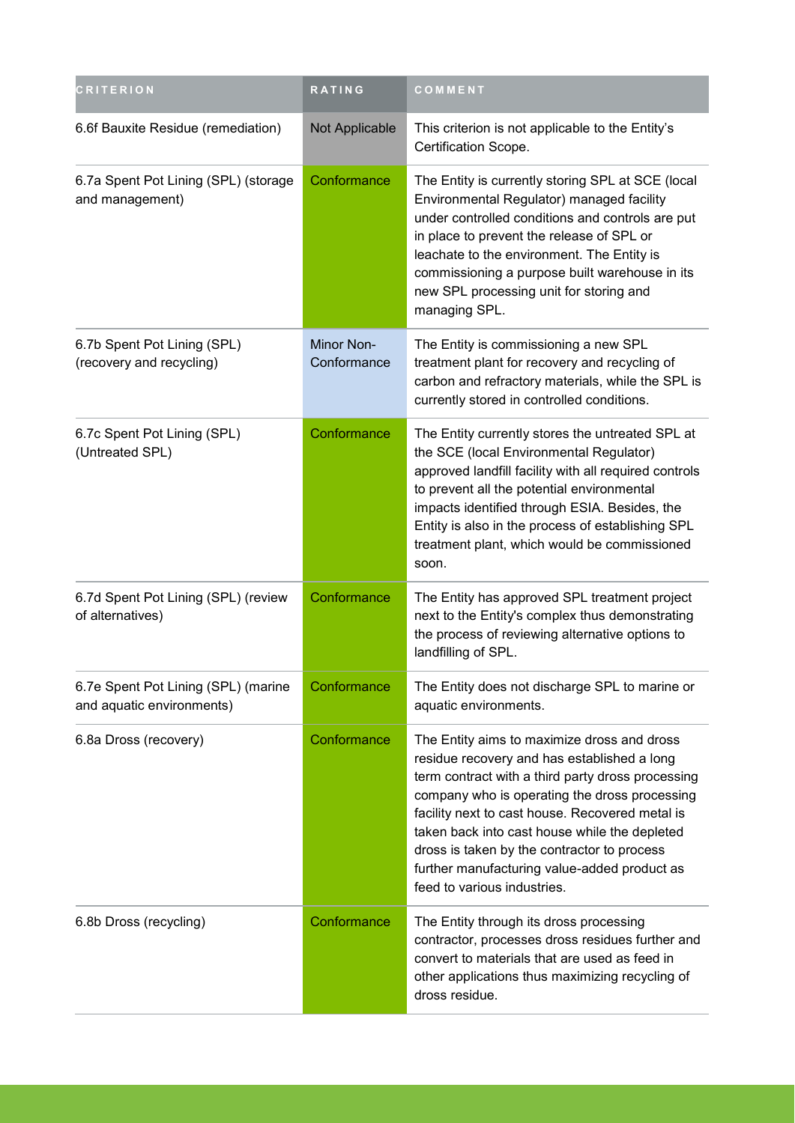| <b>CRITERION</b>                                                 | RATING                    | COMMENT                                                                                                                                                                                                                                                                                                                                                                                                                            |
|------------------------------------------------------------------|---------------------------|------------------------------------------------------------------------------------------------------------------------------------------------------------------------------------------------------------------------------------------------------------------------------------------------------------------------------------------------------------------------------------------------------------------------------------|
| 6.6f Bauxite Residue (remediation)                               | Not Applicable            | This criterion is not applicable to the Entity's<br>Certification Scope.                                                                                                                                                                                                                                                                                                                                                           |
| 6.7a Spent Pot Lining (SPL) (storage<br>and management)          | Conformance               | The Entity is currently storing SPL at SCE (local<br>Environmental Regulator) managed facility<br>under controlled conditions and controls are put<br>in place to prevent the release of SPL or<br>leachate to the environment. The Entity is<br>commissioning a purpose built warehouse in its<br>new SPL processing unit for storing and<br>managing SPL.                                                                        |
| 6.7b Spent Pot Lining (SPL)<br>(recovery and recycling)          | Minor Non-<br>Conformance | The Entity is commissioning a new SPL<br>treatment plant for recovery and recycling of<br>carbon and refractory materials, while the SPL is<br>currently stored in controlled conditions.                                                                                                                                                                                                                                          |
| 6.7c Spent Pot Lining (SPL)<br>(Untreated SPL)                   | Conformance               | The Entity currently stores the untreated SPL at<br>the SCE (local Environmental Regulator)<br>approved landfill facility with all required controls<br>to prevent all the potential environmental<br>impacts identified through ESIA. Besides, the<br>Entity is also in the process of establishing SPL<br>treatment plant, which would be commissioned<br>soon.                                                                  |
| 6.7d Spent Pot Lining (SPL) (review<br>of alternatives)          | Conformance               | The Entity has approved SPL treatment project<br>next to the Entity's complex thus demonstrating<br>the process of reviewing alternative options to<br>landfilling of SPL.                                                                                                                                                                                                                                                         |
| 6.7e Spent Pot Lining (SPL) (marine<br>and aquatic environments) | Conformance               | The Entity does not discharge SPL to marine or<br>aquatic environments.                                                                                                                                                                                                                                                                                                                                                            |
| 6.8a Dross (recovery)                                            | Conformance               | The Entity aims to maximize dross and dross<br>residue recovery and has established a long<br>term contract with a third party dross processing<br>company who is operating the dross processing<br>facility next to cast house. Recovered metal is<br>taken back into cast house while the depleted<br>dross is taken by the contractor to process<br>further manufacturing value-added product as<br>feed to various industries. |
| 6.8b Dross (recycling)                                           | Conformance               | The Entity through its dross processing<br>contractor, processes dross residues further and<br>convert to materials that are used as feed in<br>other applications thus maximizing recycling of<br>dross residue.                                                                                                                                                                                                                  |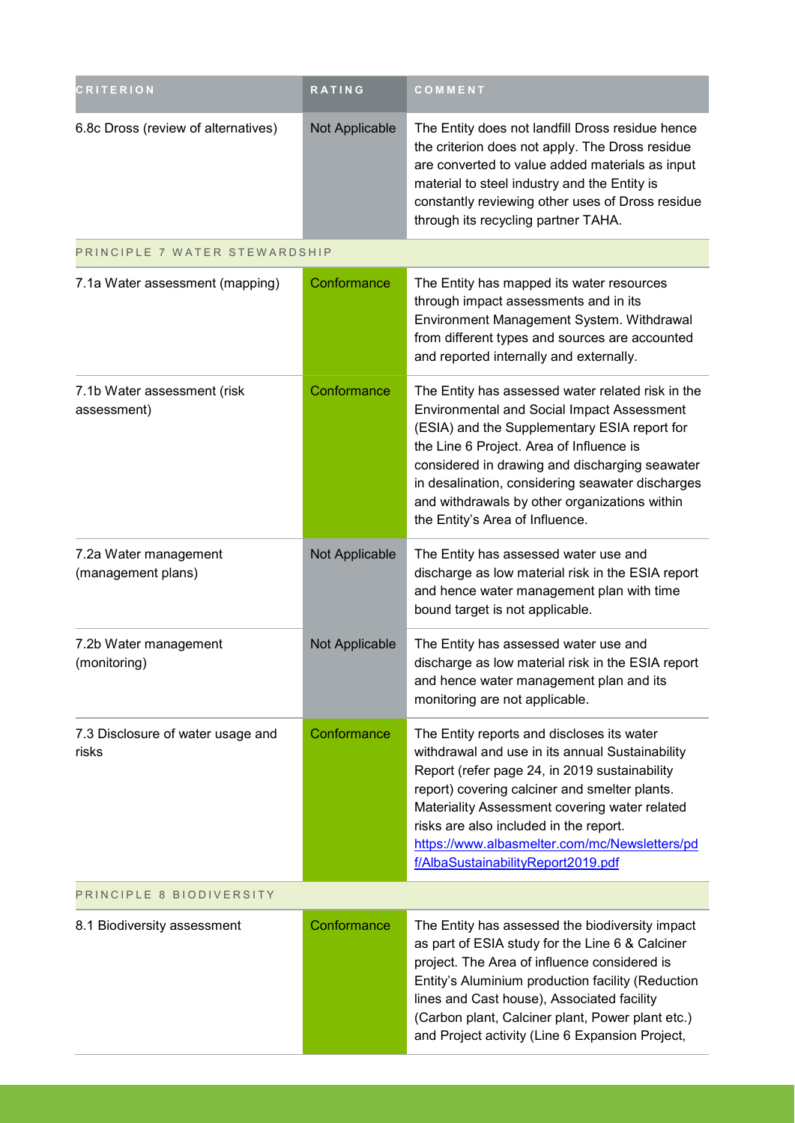| <b>CRITERION</b>                            | <b>RATING</b>  | COMMENT                                                                                                                                                                                                                                                                                                                                                                                      |
|---------------------------------------------|----------------|----------------------------------------------------------------------------------------------------------------------------------------------------------------------------------------------------------------------------------------------------------------------------------------------------------------------------------------------------------------------------------------------|
| 6.8c Dross (review of alternatives)         | Not Applicable | The Entity does not landfill Dross residue hence<br>the criterion does not apply. The Dross residue<br>are converted to value added materials as input<br>material to steel industry and the Entity is<br>constantly reviewing other uses of Dross residue<br>through its recycling partner TAHA.                                                                                            |
| PRINCIPLE 7 WATER STEWARDSHIP               |                |                                                                                                                                                                                                                                                                                                                                                                                              |
| 7.1a Water assessment (mapping)             | Conformance    | The Entity has mapped its water resources<br>through impact assessments and in its<br>Environment Management System. Withdrawal<br>from different types and sources are accounted<br>and reported internally and externally.                                                                                                                                                                 |
| 7.1b Water assessment (risk<br>assessment)  | Conformance    | The Entity has assessed water related risk in the<br><b>Environmental and Social Impact Assessment</b><br>(ESIA) and the Supplementary ESIA report for<br>the Line 6 Project. Area of Influence is<br>considered in drawing and discharging seawater<br>in desalination, considering seawater discharges<br>and withdrawals by other organizations within<br>the Entity's Area of Influence. |
| 7.2a Water management<br>(management plans) | Not Applicable | The Entity has assessed water use and<br>discharge as low material risk in the ESIA report<br>and hence water management plan with time<br>bound target is not applicable.                                                                                                                                                                                                                   |
| 7.2b Water management<br>(monitoring)       | Not Applicable | The Entity has assessed water use and<br>discharge as low material risk in the ESIA report<br>and hence water management plan and its<br>monitoring are not applicable.                                                                                                                                                                                                                      |
| 7.3 Disclosure of water usage and<br>risks  | Conformance    | The Entity reports and discloses its water<br>withdrawal and use in its annual Sustainability<br>Report (refer page 24, in 2019 sustainability<br>report) covering calciner and smelter plants.<br>Materiality Assessment covering water related<br>risks are also included in the report.<br>https://www.albasmelter.com/mc/Newsletters/pd<br>f/AlbaSustainabilityReport2019.pdf            |
| PRINCIPLE 8 BIODIVERSITY                    |                |                                                                                                                                                                                                                                                                                                                                                                                              |
| 8.1 Biodiversity assessment                 | Conformance    | The Entity has assessed the biodiversity impact<br>as part of ESIA study for the Line 6 & Calciner<br>project. The Area of influence considered is<br>Entity's Aluminium production facility (Reduction<br>lines and Cast house), Associated facility<br>(Carbon plant, Calciner plant, Power plant etc.)<br>and Project activity (Line 6 Expansion Project,                                 |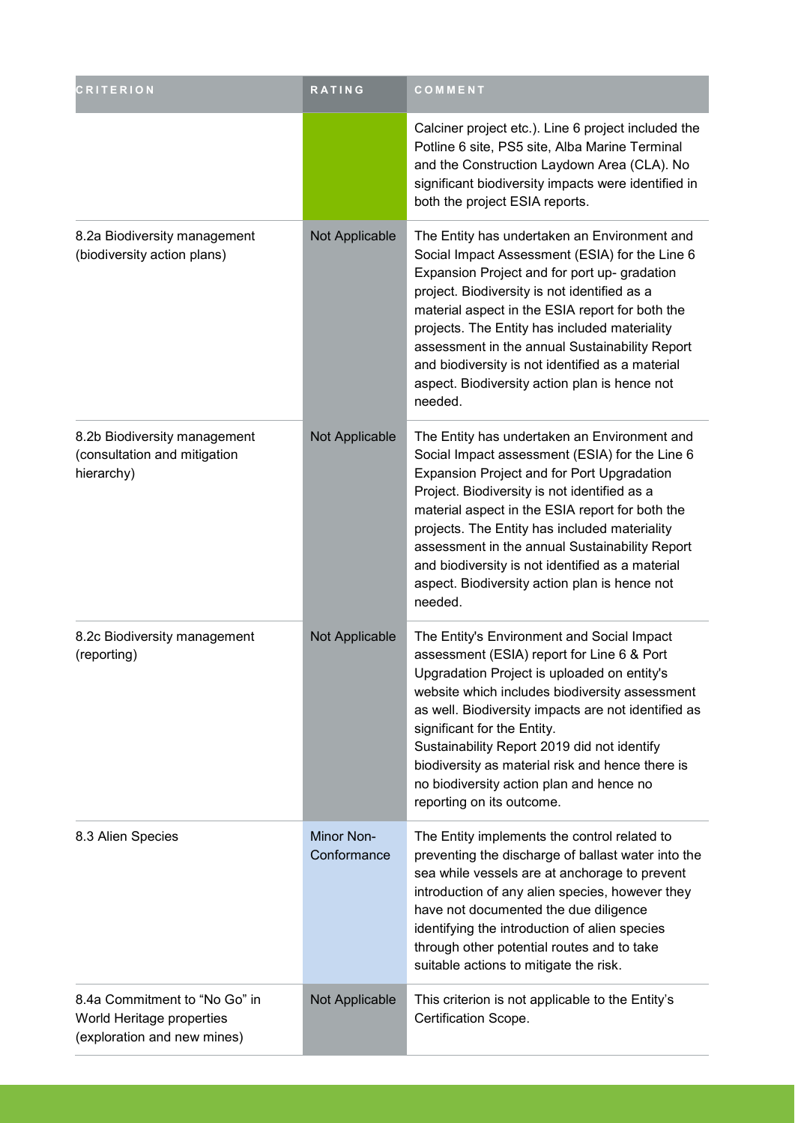| <b>CRITERION</b>                                                                          | RATING                           | COMMENT                                                                                                                                                                                                                                                                                                                                                                                                                                                                   |
|-------------------------------------------------------------------------------------------|----------------------------------|---------------------------------------------------------------------------------------------------------------------------------------------------------------------------------------------------------------------------------------------------------------------------------------------------------------------------------------------------------------------------------------------------------------------------------------------------------------------------|
|                                                                                           |                                  | Calciner project etc.). Line 6 project included the<br>Potline 6 site, PS5 site, Alba Marine Terminal<br>and the Construction Laydown Area (CLA). No<br>significant biodiversity impacts were identified in<br>both the project ESIA reports.                                                                                                                                                                                                                             |
| 8.2a Biodiversity management<br>(biodiversity action plans)                               | Not Applicable                   | The Entity has undertaken an Environment and<br>Social Impact Assessment (ESIA) for the Line 6<br>Expansion Project and for port up- gradation<br>project. Biodiversity is not identified as a<br>material aspect in the ESIA report for both the<br>projects. The Entity has included materiality<br>assessment in the annual Sustainability Report<br>and biodiversity is not identified as a material<br>aspect. Biodiversity action plan is hence not<br>needed.      |
| 8.2b Biodiversity management<br>(consultation and mitigation<br>hierarchy)                | Not Applicable                   | The Entity has undertaken an Environment and<br>Social Impact assessment (ESIA) for the Line 6<br><b>Expansion Project and for Port Upgradation</b><br>Project. Biodiversity is not identified as a<br>material aspect in the ESIA report for both the<br>projects. The Entity has included materiality<br>assessment in the annual Sustainability Report<br>and biodiversity is not identified as a material<br>aspect. Biodiversity action plan is hence not<br>needed. |
| 8.2c Biodiversity management<br>(reporting)                                               | Not Applicable                   | The Entity's Environment and Social Impact<br>assessment (ESIA) report for Line 6 & Port<br>Upgradation Project is uploaded on entity's<br>website which includes biodiversity assessment<br>as well. Biodiversity impacts are not identified as<br>significant for the Entity.<br>Sustainability Report 2019 did not identify<br>biodiversity as material risk and hence there is<br>no biodiversity action plan and hence no<br>reporting on its outcome.               |
| 8.3 Alien Species                                                                         | <b>Minor Non-</b><br>Conformance | The Entity implements the control related to<br>preventing the discharge of ballast water into the<br>sea while vessels are at anchorage to prevent<br>introduction of any alien species, however they<br>have not documented the due diligence<br>identifying the introduction of alien species<br>through other potential routes and to take<br>suitable actions to mitigate the risk.                                                                                  |
| 8.4a Commitment to "No Go" in<br>World Heritage properties<br>(exploration and new mines) | Not Applicable                   | This criterion is not applicable to the Entity's<br>Certification Scope.                                                                                                                                                                                                                                                                                                                                                                                                  |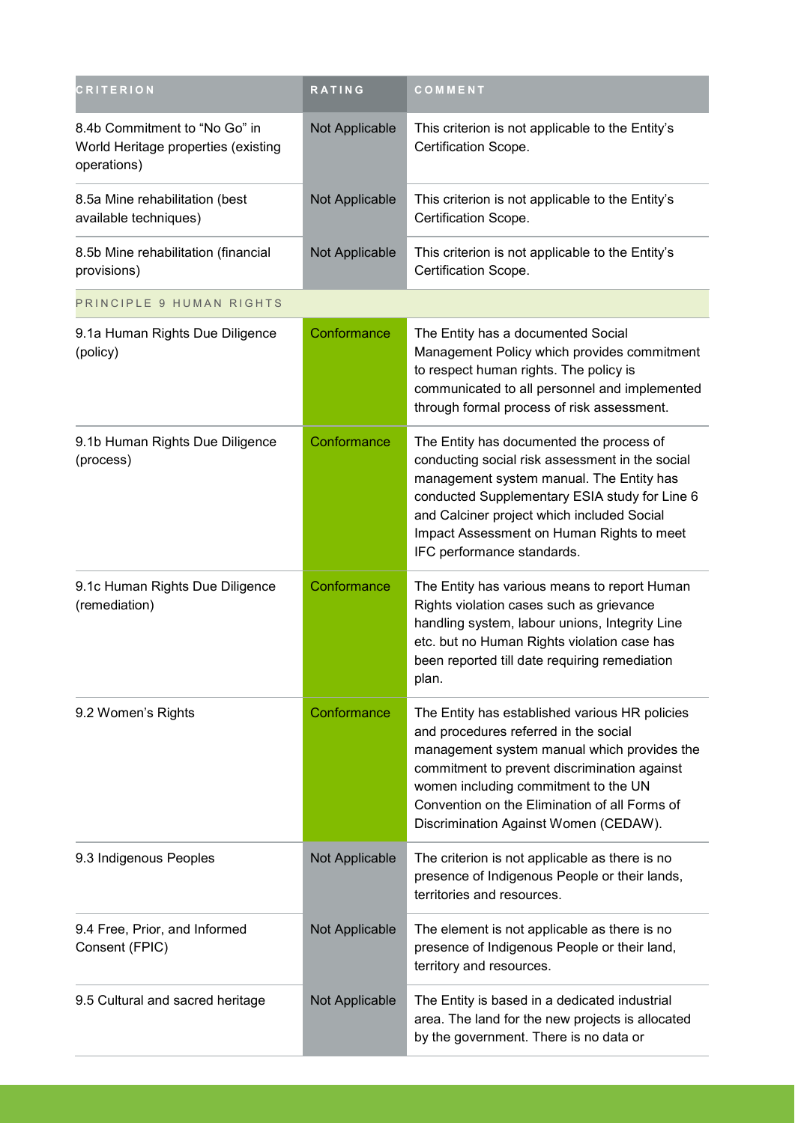| <b>CRITERION</b>                                                                    | RATING         | COMMENT                                                                                                                                                                                                                                                                                                                  |
|-------------------------------------------------------------------------------------|----------------|--------------------------------------------------------------------------------------------------------------------------------------------------------------------------------------------------------------------------------------------------------------------------------------------------------------------------|
| 8.4b Commitment to "No Go" in<br>World Heritage properties (existing<br>operations) | Not Applicable | This criterion is not applicable to the Entity's<br>Certification Scope.                                                                                                                                                                                                                                                 |
| 8.5a Mine rehabilitation (best<br>available techniques)                             | Not Applicable | This criterion is not applicable to the Entity's<br>Certification Scope.                                                                                                                                                                                                                                                 |
| 8.5b Mine rehabilitation (financial<br>provisions)                                  | Not Applicable | This criterion is not applicable to the Entity's<br>Certification Scope.                                                                                                                                                                                                                                                 |
| PRINCIPLE 9 HUMAN RIGHTS                                                            |                |                                                                                                                                                                                                                                                                                                                          |
| 9.1a Human Rights Due Diligence<br>(policy)                                         | Conformance    | The Entity has a documented Social<br>Management Policy which provides commitment<br>to respect human rights. The policy is<br>communicated to all personnel and implemented<br>through formal process of risk assessment.                                                                                               |
| 9.1b Human Rights Due Diligence<br>(process)                                        | Conformance    | The Entity has documented the process of<br>conducting social risk assessment in the social<br>management system manual. The Entity has<br>conducted Supplementary ESIA study for Line 6<br>and Calciner project which included Social<br>Impact Assessment on Human Rights to meet<br>IFC performance standards.        |
| 9.1c Human Rights Due Diligence<br>(remediation)                                    | Conformance    | The Entity has various means to report Human<br>Rights violation cases such as grievance<br>handling system, labour unions, Integrity Line<br>etc. but no Human Rights violation case has<br>been reported till date requiring remediation<br>plan.                                                                      |
| 9.2 Women's Rights                                                                  | Conformance    | The Entity has established various HR policies<br>and procedures referred in the social<br>management system manual which provides the<br>commitment to prevent discrimination against<br>women including commitment to the UN<br>Convention on the Elimination of all Forms of<br>Discrimination Against Women (CEDAW). |
| 9.3 Indigenous Peoples                                                              | Not Applicable | The criterion is not applicable as there is no<br>presence of Indigenous People or their lands,<br>territories and resources.                                                                                                                                                                                            |
| 9.4 Free, Prior, and Informed<br>Consent (FPIC)                                     | Not Applicable | The element is not applicable as there is no<br>presence of Indigenous People or their land,<br>territory and resources.                                                                                                                                                                                                 |
| 9.5 Cultural and sacred heritage                                                    | Not Applicable | The Entity is based in a dedicated industrial<br>area. The land for the new projects is allocated<br>by the government. There is no data or                                                                                                                                                                              |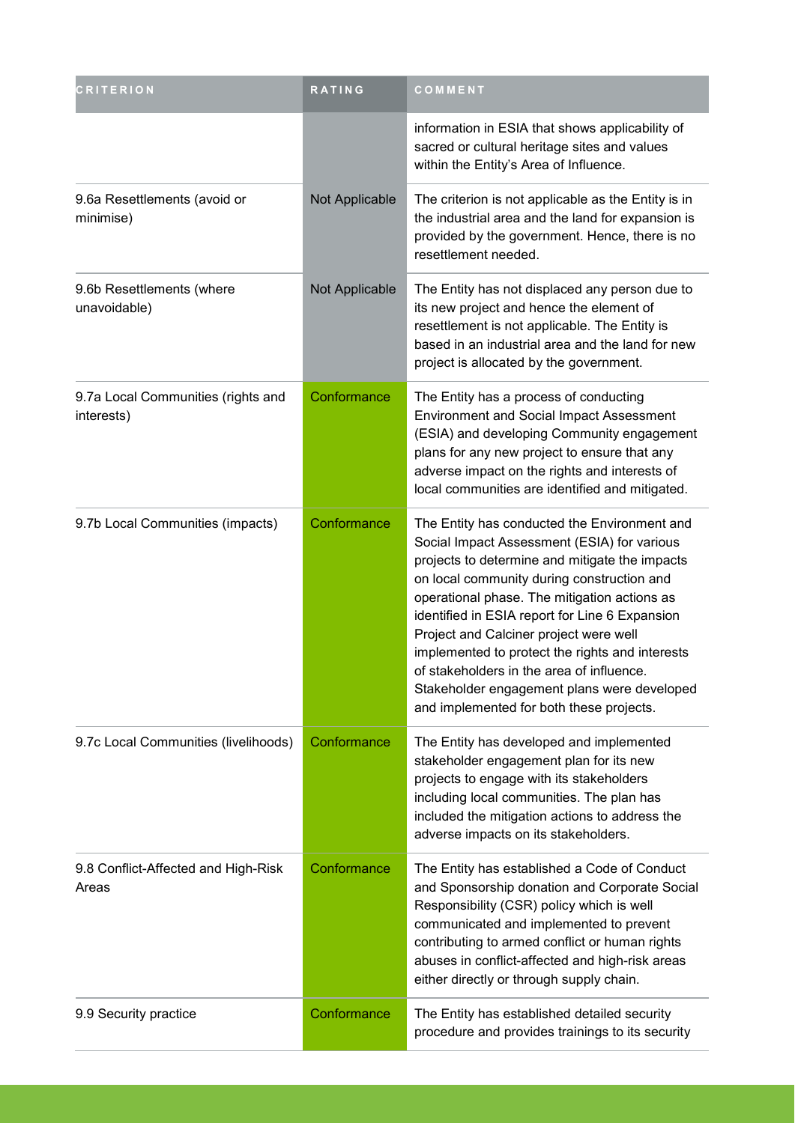| <b>CRITERION</b>                                 | RATING         | COMMENT                                                                                                                                                                                                                                                                                                                                                                                                                                                                                                                           |
|--------------------------------------------------|----------------|-----------------------------------------------------------------------------------------------------------------------------------------------------------------------------------------------------------------------------------------------------------------------------------------------------------------------------------------------------------------------------------------------------------------------------------------------------------------------------------------------------------------------------------|
|                                                  |                | information in ESIA that shows applicability of<br>sacred or cultural heritage sites and values<br>within the Entity's Area of Influence.                                                                                                                                                                                                                                                                                                                                                                                         |
| 9.6a Resettlements (avoid or<br>minimise)        | Not Applicable | The criterion is not applicable as the Entity is in<br>the industrial area and the land for expansion is<br>provided by the government. Hence, there is no<br>resettlement needed.                                                                                                                                                                                                                                                                                                                                                |
| 9.6b Resettlements (where<br>unavoidable)        | Not Applicable | The Entity has not displaced any person due to<br>its new project and hence the element of<br>resettlement is not applicable. The Entity is<br>based in an industrial area and the land for new<br>project is allocated by the government.                                                                                                                                                                                                                                                                                        |
| 9.7a Local Communities (rights and<br>interests) | Conformance    | The Entity has a process of conducting<br><b>Environment and Social Impact Assessment</b><br>(ESIA) and developing Community engagement<br>plans for any new project to ensure that any<br>adverse impact on the rights and interests of<br>local communities are identified and mitigated.                                                                                                                                                                                                                                       |
| 9.7b Local Communities (impacts)                 | Conformance    | The Entity has conducted the Environment and<br>Social Impact Assessment (ESIA) for various<br>projects to determine and mitigate the impacts<br>on local community during construction and<br>operational phase. The mitigation actions as<br>identified in ESIA report for Line 6 Expansion<br>Project and Calciner project were well<br>implemented to protect the rights and interests<br>of stakeholders in the area of influence<br>Stakeholder engagement plans were developed<br>and implemented for both these projects. |
| 9.7c Local Communities (livelihoods)             | Conformance    | The Entity has developed and implemented<br>stakeholder engagement plan for its new<br>projects to engage with its stakeholders<br>including local communities. The plan has<br>included the mitigation actions to address the<br>adverse impacts on its stakeholders.                                                                                                                                                                                                                                                            |
| 9.8 Conflict-Affected and High-Risk<br>Areas     | Conformance    | The Entity has established a Code of Conduct<br>and Sponsorship donation and Corporate Social<br>Responsibility (CSR) policy which is well<br>communicated and implemented to prevent<br>contributing to armed conflict or human rights<br>abuses in conflict-affected and high-risk areas<br>either directly or through supply chain.                                                                                                                                                                                            |
| 9.9 Security practice                            | Conformance    | The Entity has established detailed security<br>procedure and provides trainings to its security                                                                                                                                                                                                                                                                                                                                                                                                                                  |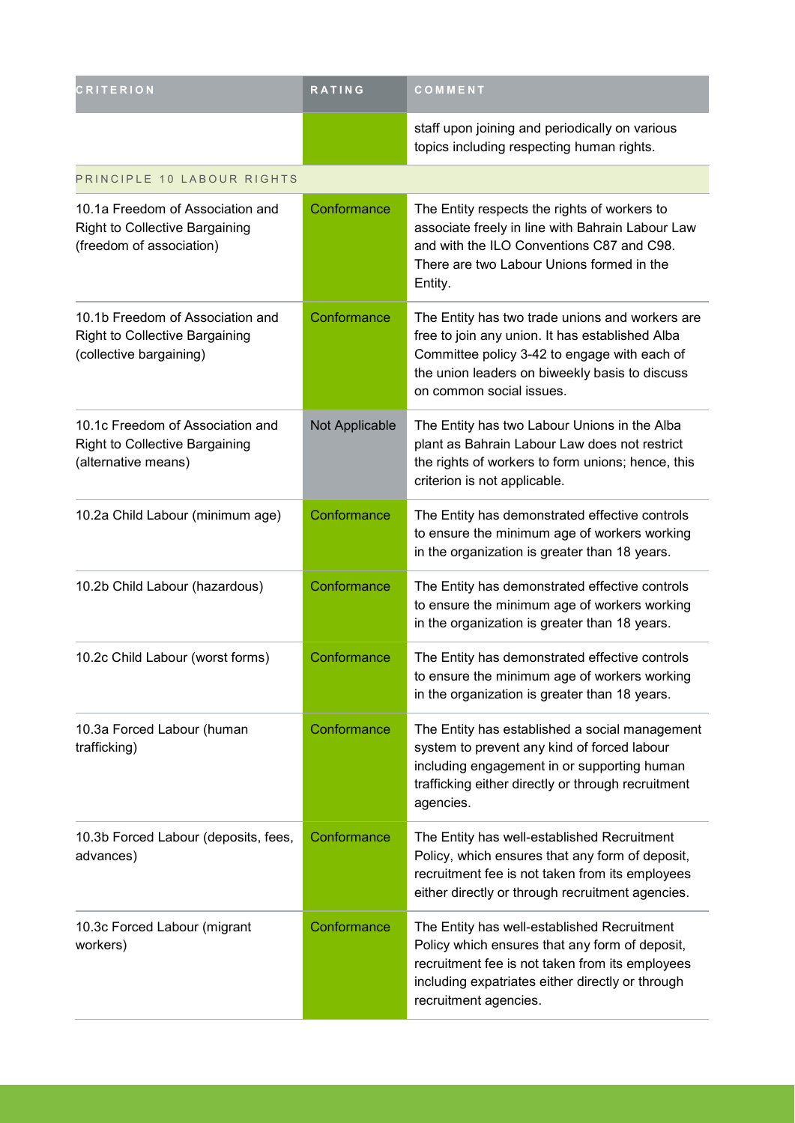| <b>CRITERION</b>                                                                                      | <b>RATING</b>  | COMMENT                                                                                                                                                                                                                          |
|-------------------------------------------------------------------------------------------------------|----------------|----------------------------------------------------------------------------------------------------------------------------------------------------------------------------------------------------------------------------------|
|                                                                                                       |                | staff upon joining and periodically on various<br>topics including respecting human rights.                                                                                                                                      |
| PRINCIPLE 10 LABOUR RIGHTS                                                                            |                |                                                                                                                                                                                                                                  |
| 10.1a Freedom of Association and<br><b>Right to Collective Bargaining</b><br>(freedom of association) | Conformance    | The Entity respects the rights of workers to<br>associate freely in line with Bahrain Labour Law<br>and with the ILO Conventions C87 and C98.<br>There are two Labour Unions formed in the<br>Entity.                            |
| 10.1b Freedom of Association and<br><b>Right to Collective Bargaining</b><br>(collective bargaining)  | Conformance    | The Entity has two trade unions and workers are<br>free to join any union. It has established Alba<br>Committee policy 3-42 to engage with each of<br>the union leaders on biweekly basis to discuss<br>on common social issues. |
| 10.1c Freedom of Association and<br><b>Right to Collective Bargaining</b><br>(alternative means)      | Not Applicable | The Entity has two Labour Unions in the Alba<br>plant as Bahrain Labour Law does not restrict<br>the rights of workers to form unions; hence, this<br>criterion is not applicable.                                               |
| 10.2a Child Labour (minimum age)                                                                      | Conformance    | The Entity has demonstrated effective controls<br>to ensure the minimum age of workers working<br>in the organization is greater than 18 years.                                                                                  |
| 10.2b Child Labour (hazardous)                                                                        | Conformance    | The Entity has demonstrated effective controls<br>to ensure the minimum age of workers working<br>in the organization is greater than 18 years.                                                                                  |
| 10.2c Child Labour (worst forms)                                                                      | Conformance    | The Entity has demonstrated effective controls<br>to ensure the minimum age of workers working<br>in the organization is greater than 18 years.                                                                                  |
| 10.3a Forced Labour (human<br>trafficking)                                                            | Conformance    | The Entity has established a social management<br>system to prevent any kind of forced labour<br>including engagement in or supporting human<br>trafficking either directly or through recruitment<br>agencies.                  |
| 10.3b Forced Labour (deposits, fees,<br>advances)                                                     | Conformance    | The Entity has well-established Recruitment<br>Policy, which ensures that any form of deposit,<br>recruitment fee is not taken from its employees<br>either directly or through recruitment agencies.                            |
| 10.3c Forced Labour (migrant<br>workers)                                                              | Conformance    | The Entity has well-established Recruitment<br>Policy which ensures that any form of deposit,<br>recruitment fee is not taken from its employees<br>including expatriates either directly or through<br>recruitment agencies.    |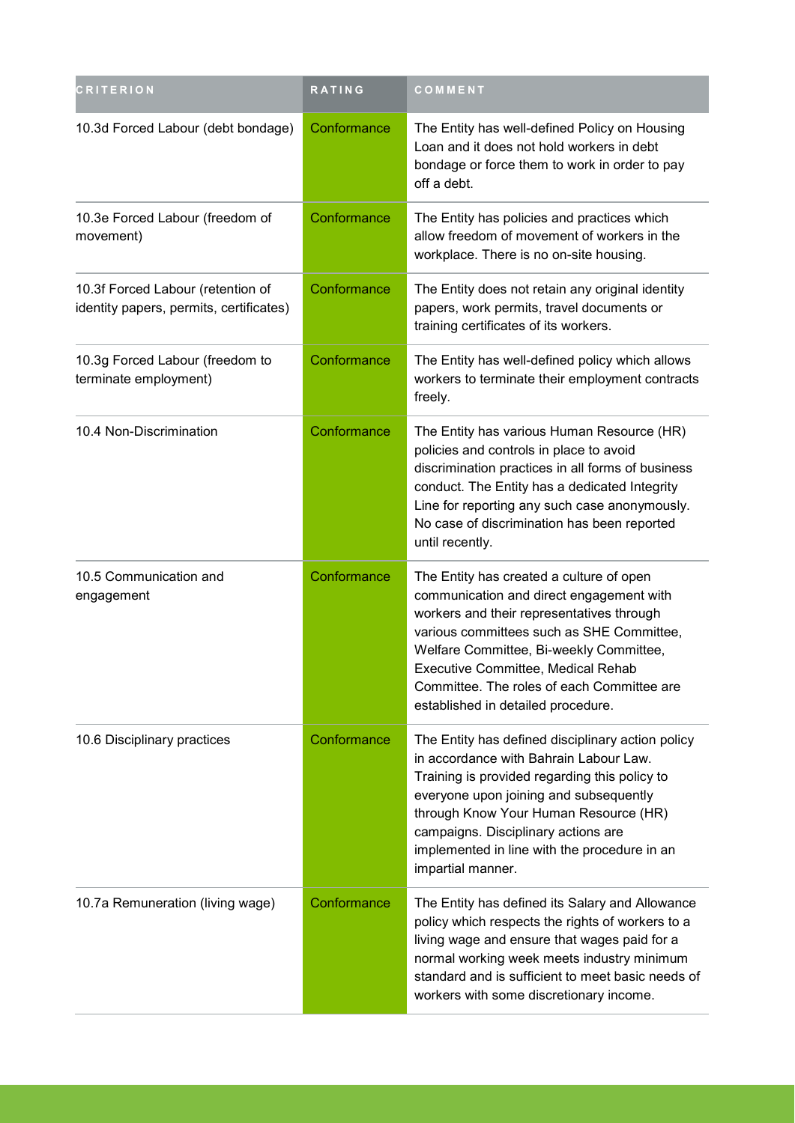| <b>CRITERION</b>                                                             | RATING      | COMMENT                                                                                                                                                                                                                                                                                                                                             |
|------------------------------------------------------------------------------|-------------|-----------------------------------------------------------------------------------------------------------------------------------------------------------------------------------------------------------------------------------------------------------------------------------------------------------------------------------------------------|
| 10.3d Forced Labour (debt bondage)                                           | Conformance | The Entity has well-defined Policy on Housing<br>Loan and it does not hold workers in debt<br>bondage or force them to work in order to pay<br>off a debt.                                                                                                                                                                                          |
| 10.3e Forced Labour (freedom of<br>movement)                                 | Conformance | The Entity has policies and practices which<br>allow freedom of movement of workers in the<br>workplace. There is no on-site housing.                                                                                                                                                                                                               |
| 10.3f Forced Labour (retention of<br>identity papers, permits, certificates) | Conformance | The Entity does not retain any original identity<br>papers, work permits, travel documents or<br>training certificates of its workers.                                                                                                                                                                                                              |
| 10.3g Forced Labour (freedom to<br>terminate employment)                     | Conformance | The Entity has well-defined policy which allows<br>workers to terminate their employment contracts<br>freely.                                                                                                                                                                                                                                       |
| 10.4 Non-Discrimination                                                      | Conformance | The Entity has various Human Resource (HR)<br>policies and controls in place to avoid<br>discrimination practices in all forms of business<br>conduct. The Entity has a dedicated Integrity<br>Line for reporting any such case anonymously.<br>No case of discrimination has been reported<br>until recently.                                      |
| 10.5 Communication and<br>engagement                                         | Conformance | The Entity has created a culture of open<br>communication and direct engagement with<br>workers and their representatives through<br>various committees such as SHE Committee,<br>Welfare Committee, Bi-weekly Committee,<br>Executive Committee, Medical Rehab<br>Committee. The roles of each Committee are<br>established in detailed procedure. |
| 10.6 Disciplinary practices                                                  | Conformance | The Entity has defined disciplinary action policy<br>in accordance with Bahrain Labour Law.<br>Training is provided regarding this policy to<br>everyone upon joining and subsequently<br>through Know Your Human Resource (HR)<br>campaigns. Disciplinary actions are<br>implemented in line with the procedure in an<br>impartial manner.         |
| 10.7a Remuneration (living wage)                                             | Conformance | The Entity has defined its Salary and Allowance<br>policy which respects the rights of workers to a<br>living wage and ensure that wages paid for a<br>normal working week meets industry minimum<br>standard and is sufficient to meet basic needs of<br>workers with some discretionary income.                                                   |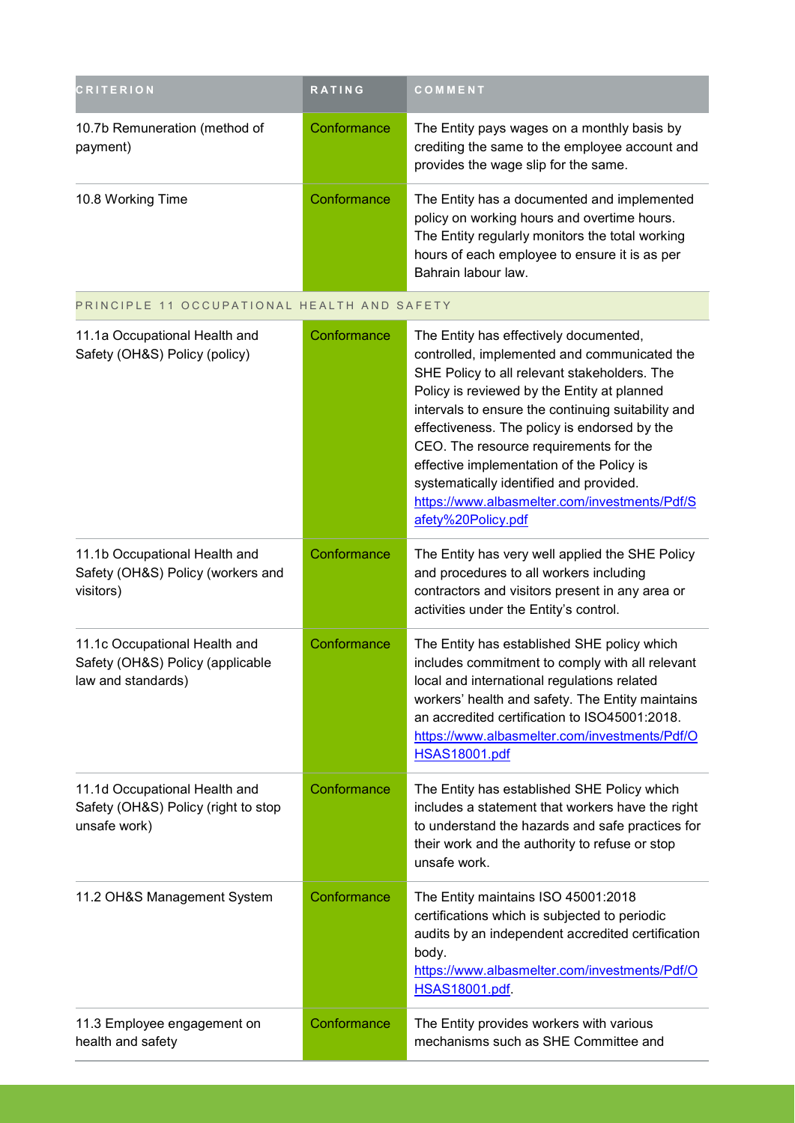| <b>CRITERION</b>                                                                        | <b>RATING</b> | COMMENT                                                                                                                                                                                                                                                                                                                                                                                                                                                                                              |
|-----------------------------------------------------------------------------------------|---------------|------------------------------------------------------------------------------------------------------------------------------------------------------------------------------------------------------------------------------------------------------------------------------------------------------------------------------------------------------------------------------------------------------------------------------------------------------------------------------------------------------|
| 10.7b Remuneration (method of<br>payment)                                               | Conformance   | The Entity pays wages on a monthly basis by<br>crediting the same to the employee account and<br>provides the wage slip for the same.                                                                                                                                                                                                                                                                                                                                                                |
| 10.8 Working Time                                                                       | Conformance   | The Entity has a documented and implemented<br>policy on working hours and overtime hours.<br>The Entity regularly monitors the total working<br>hours of each employee to ensure it is as per<br>Bahrain labour law.                                                                                                                                                                                                                                                                                |
| PRINCIPLE 11 OCCUPATIONAL HEALTH AND SAFETY                                             |               |                                                                                                                                                                                                                                                                                                                                                                                                                                                                                                      |
| 11.1a Occupational Health and<br>Safety (OH&S) Policy (policy)                          | Conformance   | The Entity has effectively documented,<br>controlled, implemented and communicated the<br>SHE Policy to all relevant stakeholders. The<br>Policy is reviewed by the Entity at planned<br>intervals to ensure the continuing suitability and<br>effectiveness. The policy is endorsed by the<br>CEO. The resource requirements for the<br>effective implementation of the Policy is<br>systematically identified and provided.<br>https://www.albasmelter.com/investments/Pdf/S<br>afety%20Policy.pdf |
| 11.1b Occupational Health and<br>Safety (OH&S) Policy (workers and<br>visitors)         | Conformance   | The Entity has very well applied the SHE Policy<br>and procedures to all workers including<br>contractors and visitors present in any area or<br>activities under the Entity's control.                                                                                                                                                                                                                                                                                                              |
| 11.1c Occupational Health and<br>Safety (OH&S) Policy (applicable<br>law and standards) | Conformance   | The Entity has established SHE policy which<br>includes commitment to comply with all relevant<br>local and international regulations related<br>workers' health and safety. The Entity maintains<br>an accredited certification to ISO45001:2018.<br>https://www.albasmelter.com/investments/Pdf/O<br><b>HSAS18001.pdf</b>                                                                                                                                                                          |
| 11.1d Occupational Health and<br>Safety (OH&S) Policy (right to stop<br>unsafe work)    | Conformance   | The Entity has established SHE Policy which<br>includes a statement that workers have the right<br>to understand the hazards and safe practices for<br>their work and the authority to refuse or stop<br>unsafe work.                                                                                                                                                                                                                                                                                |
| 11.2 OH&S Management System                                                             | Conformance   | The Entity maintains ISO 45001:2018<br>certifications which is subjected to periodic<br>audits by an independent accredited certification<br>body.<br>https://www.albasmelter.com/investments/Pdf/O<br><b>HSAS18001.pdf</b>                                                                                                                                                                                                                                                                          |
| 11.3 Employee engagement on<br>health and safety                                        | Conformance   | The Entity provides workers with various<br>mechanisms such as SHE Committee and                                                                                                                                                                                                                                                                                                                                                                                                                     |